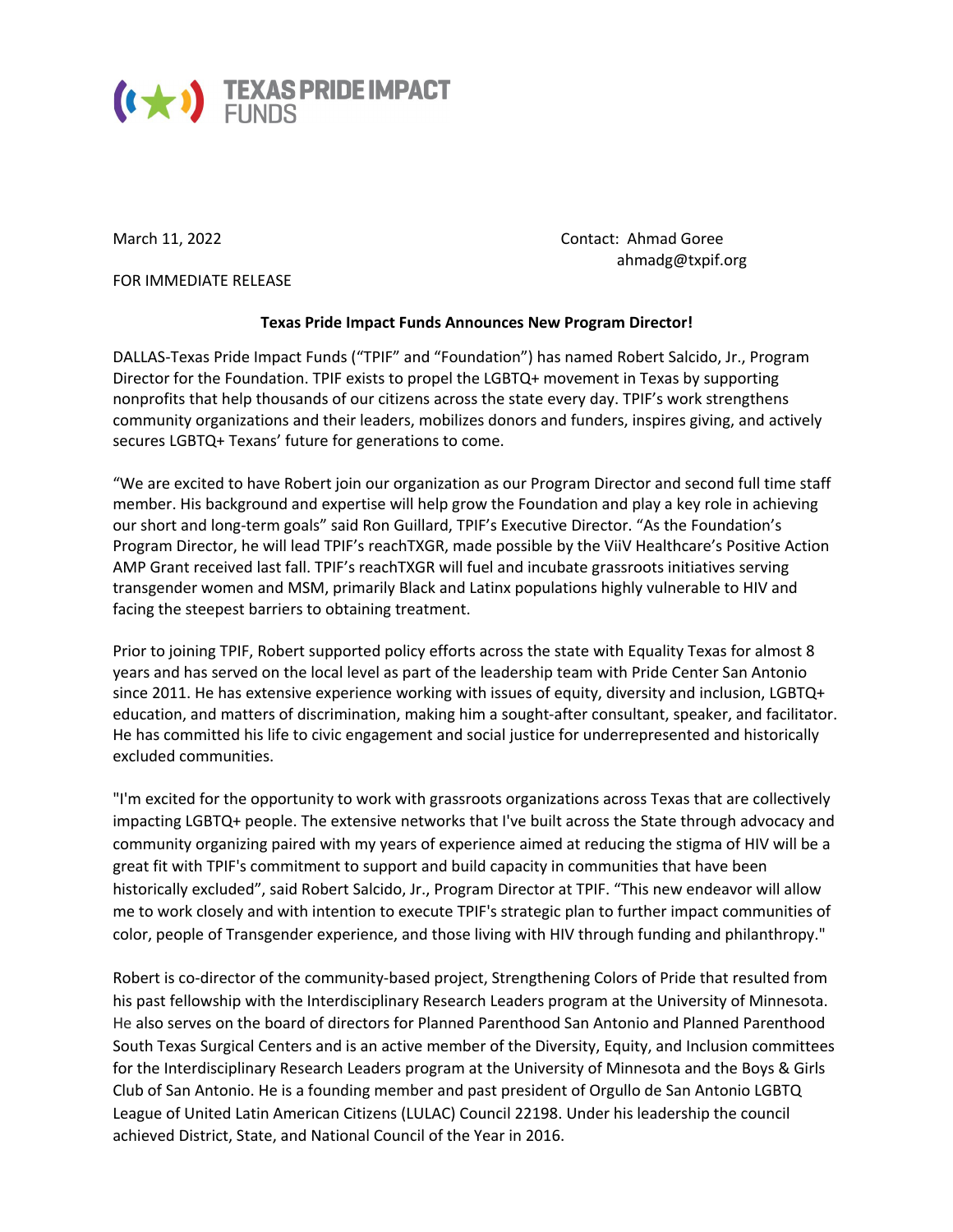

FOR IMMEDIATE RELEASE

March 11, 2022 **Contact: Ahmad Goree** ahmadg@txpif.org

## **Texas Pride Impact Funds Announces New Program Director!**

DALLAS-Texas Pride Impact Funds ("TPIF" and "Foundation") has named Robert Salcido, Jr., Program Director for the Foundation. TPIF exists to propel the LGBTQ+ movement in Texas by supporting nonprofits that help thousands of our citizens across the state every day. TPIF's work strengthens community organizations and their leaders, mobilizes donors and funders, inspires giving, and actively secures LGBTQ+ Texans' future for generations to come.

"We are excited to have Robert join our organization as our Program Director and second full time staff member. His background and expertise will help grow the Foundation and play a key role in achieving our short and long-term goals" said Ron Guillard, TPIF's Executive Director. "As the Foundation's Program Director, he will lead TPIF's reachTXGR, made possible by the ViiV Healthcare's Positive Action AMP Grant received last fall. TPIF's reachTXGR will fuel and incubate grassroots initiatives serving transgender women and MSM, primarily Black and Latinx populations highly vulnerable to HIV and facing the steepest barriers to obtaining treatment.

Prior to joining TPIF, Robert supported policy efforts across the state with Equality Texas for almost 8 years and has served on the local level as part of the leadership team with Pride Center San Antonio since 2011. He has extensive experience working with issues of equity, diversity and inclusion, LGBTQ+ education, and matters of discrimination, making him a sought-after consultant, speaker, and facilitator. He has committed his life to civic engagement and social justice for underrepresented and historically excluded communities.

"I'm excited for the opportunity to work with grassroots organizations across Texas that are collectively impacting LGBTQ+ people. The extensive networks that I've built across the State through advocacy and community organizing paired with my years of experience aimed at reducing the stigma of HIV will be a great fit with TPIF's commitment to support and build capacity in communities that have been historically excluded", said Robert Salcido, Jr., Program Director at TPIF. "This new endeavor will allow me to work closely and with intention to execute TPIF's strategic plan to further impact communities of color, people of Transgender experience, and those living with HIV through funding and philanthropy."

Robert is co-director of the community-based project, Strengthening Colors of Pride that resulted from his past fellowship with the Interdisciplinary Research Leaders program at the University of Minnesota. He also serves on the board of directors for Planned Parenthood San Antonio and Planned Parenthood South Texas Surgical Centers and is an active member of the Diversity, Equity, and Inclusion committees for the Interdisciplinary Research Leaders program at the University of Minnesota and the Boys & Girls Club of San Antonio. He is a founding member and past president of Orgullo de San Antonio LGBTQ League of United Latin American Citizens (LULAC) Council 22198. Under his leadership the council achieved District, State, and National Council of the Year in 2016.